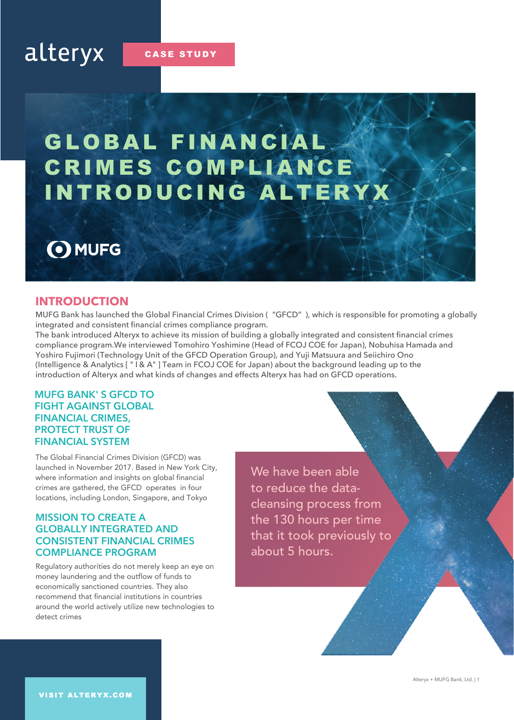**CASE STUDY** 

# GLOBAL FINANCIAL CRIMES COMPLIANCE INTRODUCING ALTERYX

## O MUFG

## **INTRODUCTION**

MUFG Bank has launched the Global Financial Crimes Division ( "GFCD" ), which is responsible for promoting a globally integrated and consistent financial crimes compliance program.

The bank introduced Alteryx to achieve its mission of building a globally integrated and consistent financial crimes compliance program.We interviewed Tomohiro Yoshimine (Head of FCOJ COE for Japan), Nobuhisa Hamada and Yoshiro Fujimori (Technology Unit of the GFCD Operation Group), and Yuji Matsuura and Seiichiro Ono (Intelligence & Analytics [ " I & A" ] Team in FCOJ COE for Japan) about the background leading up to the introduction of Alteryx and what kinds of changes and effects Alteryx has had on GFCD operations.

## **MUFG BANK' S GFCD TO FIGHT AGAINST GLOBAL FINANCIAL CRIMES, PROTECT TRUST OF FINANCIAL SYSTEM**

The Global Financial Crimes Division (GFCD) was launched in November 2017. Based in New York City, where information and insights on global financial crimes are gathered, the GFCD operates in four locations, including London, Singapore, and Tokyo

## **MISSION TO CREATE A GLOBALLY INTEGRATED AND CONSISTENT FINANCIAL CRIMES COMPLIANCE PROGRAM**

Regulatory authorities do not merely keep an eye on money laundering and the outflow of funds to economically sanctioned countries. They also recommend that financial institutions in countries around the world actively utilize new technologies to detect crimes

We have been able to reduce the datacleansing process from the 130 hours per time that it took previously to about 5 hours.

Alteryx + MUFG Bank, Ltd. | 1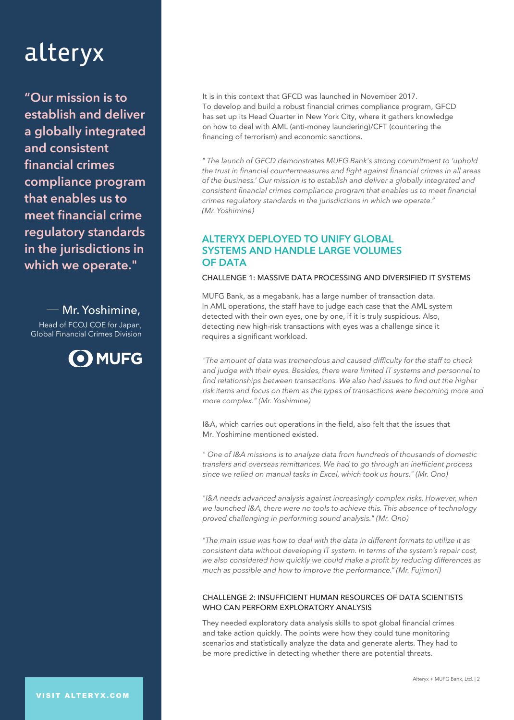**"Our mission is to establish and deliver a globally integrated and consistent financial crimes compliance program that enables us to meet financial crime regulatory standards in the jurisdictions in which we operate."**

Mr. Yoshimine, Head of FCOJ COE for Japan, Global Financial Crimes Division



It is in this context that GFCD was launched in November 2017. To develop and build a robust financial crimes compliance program, GFCD has set up its Head Quarter in New York City, where it gathers knowledge on how to deal with AML (anti-money laundering)/CFT (countering the financing of terrorism) and economic sanctions.

*" The launch of GFCD demonstrates MUFG Bank's strong commitment to 'uphold the trust in financial countermeasures and fight against financial crimes in all areas of the business.' Our mission is to establish and deliver a globally integrated and consistent financial crimes compliance program that enables us to meet financial crimes regulatory standards in the jurisdictions in which we operate." (Mr. Yoshimine)*

## **ALTERYX DEPLOYED TO UNIFY GLOBAL SYSTEMS AND HANDLE LARGE VOLUMES OF DATA**

#### CHALLENGE 1: MASSIVE DATA PROCESSING AND DIVERSIFIED IT SYSTEMS

MUFG Bank, as a megabank, has a large number of transaction data. In AML operations, the staff have to judge each case that the AML system detected with their own eyes, one by one, if it is truly suspicious. Also, detecting new high-risk transactions with eyes was a challenge since it requires a significant workload.

*"The amount of data was tremendous and caused difficulty for the staff to check and judge with their eyes. Besides, there were limited IT systems and personnel to find relationships between transactions. We also had issues to find out the higher risk items and focus on them as the types of transactions were becoming more and more complex." (Mr. Yoshimine)*

I&A, which carries out operations in the field, also felt that the issues that Mr. Yoshimine mentioned existed.

*" One of I&A missions is to analyze data from hundreds of thousands of domestic transfers and overseas remittances. We had to go through an inefficient process since we relied on manual tasks in Excel, which took us hours." (Mr. Ono)*

*"I&A needs advanced analysis against increasingly complex risks. However, when we launched I&A, there were no tools to achieve this. This absence of technology proved challenging in performing sound analysis." (Mr. Ono)*

*"The main issue was how to deal with the data in different formats to utilize it as consistent data without developing IT system. In terms of the system's repair cost, we also considered how quickly we could make a profit by reducing differences as much as possible and how to improve the performance." (Mr. Fujimori)*

#### CHALLENGE 2: INSUFFICIENT HUMAN RESOURCES OF DATA SCIENTISTS WHO CAN PERFORM EXPLORATORY ANALYSIS

They needed exploratory data analysis skills to spot global financial crimes and take action quickly. The points were how they could tune monitoring scenarios and statistically analyze the data and generate alerts. They had to be more predictive in detecting whether there are potential threats.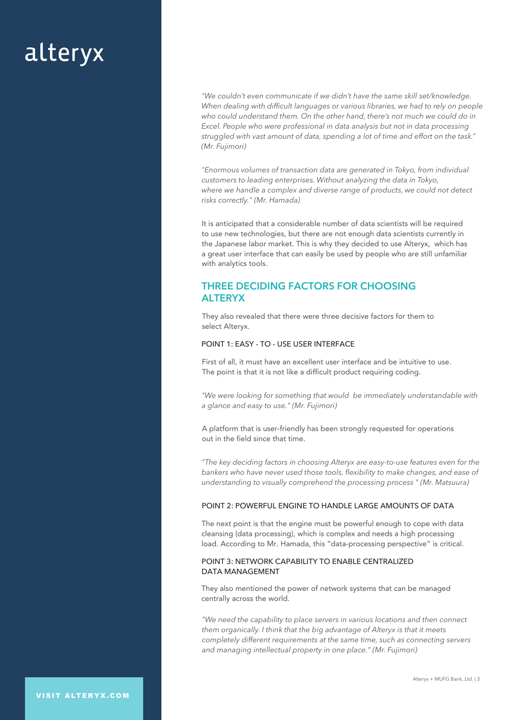*"We couldn't even communicate if we didn't have the same skill set/knowledge. When dealing with difficult languages or various libraries, we had to rely on people who could understand them. On the other hand, there's not much we could do in Excel. People who were professional in data analysis but not in data processing struggled with vast amount of data, spending a lot of time and effort on the task." (Mr. Fujimori)*

*"Enormous volumes of transaction data are generated in Tokyo, from individual customers to leading enterprises. Without analyzing the data in Tokyo, where we handle a complex and diverse range of products, we could not detect risks correctly." (Mr. Hamada)*

It is anticipated that a considerable number of data scientists will be required to use new technologies, but there are not enough data scientists currently in the Japanese labor market. This is why they decided to use Alteryx, which has a great user interface that can easily be used by people who are still unfamiliar with analytics tools.

## **THREE DECIDING FACTORS FOR CHOOSING ALTERYX**

They also revealed that there were three decisive factors for them to select Alteryx.

### POINT 1: EASY - TO - USE USER INTERFACE

First of all, it must have an excellent user interface and be intuitive to use. The point is that it is not like a difficult product requiring coding.

*"We were looking for something that would be immediately understandable with a glance and easy to use." (Mr. Fujimori)* 

A platform that is user-friendly has been strongly requested for operations out in the field since that time.

*"The key deciding factors in choosing Alteryx are easy-to-use features even for the bankers who have never used those tools, flexibility to make changes, and ease of understanding to visually comprehend the processing process " (Mr. Matsuura)*

#### POINT 2: POWERFUL ENGINE TO HANDLE LARGE AMOUNTS OF DATA

The next point is that the engine must be powerful enough to cope with data cleansing (data processing), which is complex and needs a high processing load. According to Mr. Hamada, this "data-processing perspective" is critical.

#### POINT 3: NETWORK CAPABILITY TO ENABLE CENTRALIZED DATA MANAGEMENT

They also mentioned the power of network systems that can be managed centrally across the world.

*"We need the capability to place servers in various locations and then connect them organically. I think that the big advantage of Alteryx is that it meets completely different requirements at the same time, such as connecting servers and managing intellectual property in one place." (Mr. Fujimori)*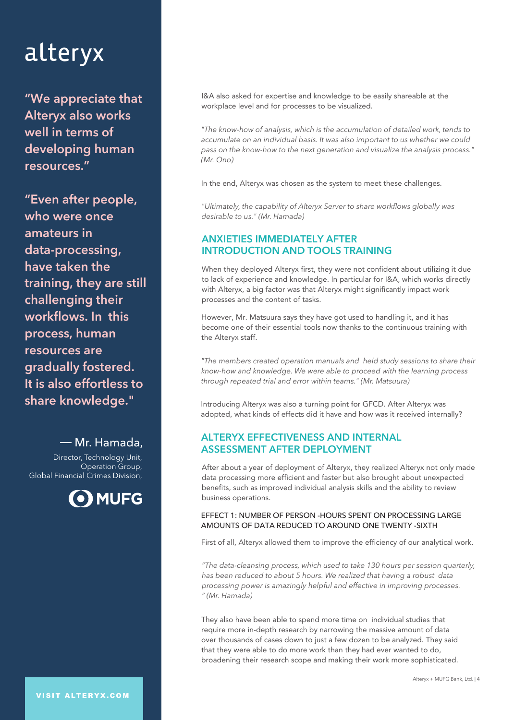**"We appreciate that Alteryx also works well in terms of developing human resources."**

**"Even after people, who were once amateurs in data-processing, have taken the training, they are still challenging their workflows. In this process, human resources are gradually fostered. It is also effortless to share knowledge."**

Mr. Hamada, Director, Technology Unit, Operation Group, Global Financial Crimes Division,



I&A also asked for expertise and knowledge to be easily shareable at the workplace level and for processes to be visualized.

*"The know-how of analysis, which is the accumulation of detailed work, tends to accumulate on an individual basis. It was also important to us whether we could pass on the know-how to the next generation and visualize the analysis process." (Mr. Ono)*

In the end, Alteryx was chosen as the system to meet these challenges.

*"Ultimately, the capability of Alteryx Server to share workflows globally was desirable to us." (Mr. Hamada)*

## **ANXIETIES IMMEDIATELY AFTER INTRODUCTION AND TOOLS TRAINING**

When they deployed Alteryx first, they were not confident about utilizing it due to lack of experience and knowledge. In particular for I&A, which works directly with Alteryx, a big factor was that Alteryx might significantly impact work processes and the content of tasks.

However, Mr. Matsuura says they have got used to handling it, and it has become one of their essential tools now thanks to the continuous training with the Alteryx staff.

*"The members created operation manuals and held study sessions to share their know-how and knowledge. We were able to proceed with the learning process through repeated trial and error within teams." (Mr. Matsuura)*

Introducing Alteryx was also a turning point for GFCD. After Alteryx was adopted, what kinds of effects did it have and how was it received internally?

## **ALTERYX EFFECTIVENESS AND INTERNAL ASSESSMENT AFTER DEPLOYMENT**

After about a year of deployment of Alteryx, they realized Alteryx not only made data processing more efficient and faster but also brought about unexpected benefits, such as improved individual analysis skills and the ability to review business operations.

### EFFECT 1: NUMBER OF PERSON -HOURS SPENT ON PROCESSING LARGE AMOUNTS OF DATA REDUCED TO AROUND ONE TWENTY -SIXTH

First of all, Alteryx allowed them to improve the efficiency of our analytical work.

*"The data-cleansing process, which used to take 130 hours per session quarterly, has been reduced to about 5 hours. We realized that having a robust data processing power is amazingly helpful and effective in improving processes. " (Mr. Hamada)*

They also have been able to spend more time on individual studies that require more in-depth research by narrowing the massive amount of data over thousands of cases down to just a few dozen to be analyzed. They said that they were able to do more work than they had ever wanted to do, broadening their research scope and making their work more sophisticated.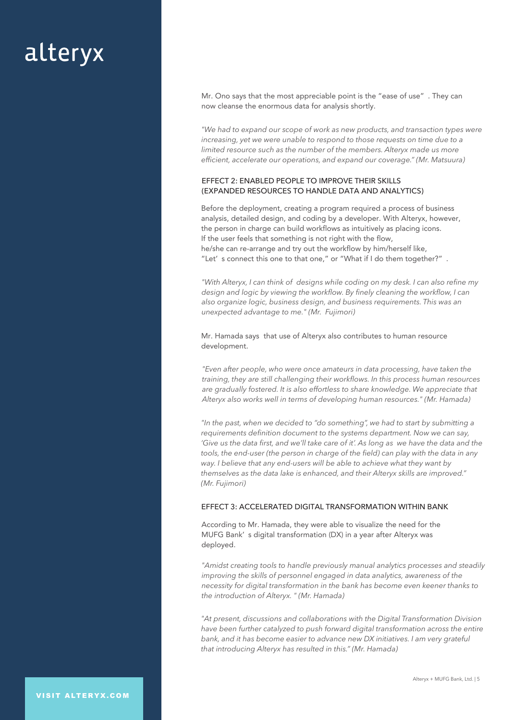Mr. Ono says that the most appreciable point is the "ease of use" . They can now cleanse the enormous data for analysis shortly.

*"We had to expand our scope of work as new products, and transaction types were increasing, yet we were unable to respond to those requests on time due to a limited resource such as the number of the members. Alteryx made us more efficient, accelerate our operations, and expand our coverage." (Mr. Matsuura)*

### EFFECT 2: ENABLED PEOPLE TO IMPROVE THEIR SKILLS (EXPANDED RESOURCES TO HANDLE DATA AND ANALYTICS)

Before the deployment, creating a program required a process of business analysis, detailed design, and coding by a developer. With Alteryx, however, the person in charge can build workflows as intuitively as placing icons. If the user feels that something is not right with the flow, he/she can re-arrange and try out the workflow by him/herself like, "Let' s connect this one to that one," or "What if I do them together?" .

*"With Alteryx, I can think of designs while coding on my desk. I can also refine my design and logic by viewing the workflow. By finely cleaning the workflow, I can also organize logic, business design, and business requirements. This was an unexpected advantage to me." (Mr. Fujimori)*

Mr. Hamada says that use of Alteryx also contributes to human resource development.

*"Even after people, who were once amateurs in data processing, have taken the training, they are still challenging their workflows. In this process human resources are gradually fostered. It is also effortless to share knowledge. We appreciate that Alteryx also works well in terms of developing human resources." (Mr. Hamada)*

*"In the past, when we decided to "do something", we had to start by submitting a requirements definition document to the systems department. Now we can say, 'Give us the data first, and we'll take care of it'. As long as we have the data and the tools, the end-user (the person in charge of the field) can play with the data in any way. I believe that any end-users will be able to achieve what they want by themselves as the data lake is enhanced, and their Alteryx skills are improved." (Mr. Fujimori)*

#### EFFECT 3: ACCELERATED DIGITAL TRANSFORMATION WITHIN BANK

According to Mr. Hamada, they were able to visualize the need for the MUFG Bank' s digital transformation (DX) in a year after Alteryx was deployed.

*"Amidst creating tools to handle previously manual analytics processes and steadily improving the skills of personnel engaged in data analytics, awareness of the necessity for digital transformation in the bank has become even keener thanks to the introduction of Alteryx. " (Mr. Hamada)*

*"At present, discussions and collaborations with the Digital Transformation Division have been further catalyzed to push forward digital transformation across the entire bank, and it has become easier to advance new DX initiatives. I am very grateful that introducing Alteryx has resulted in this." (Mr. Hamada)*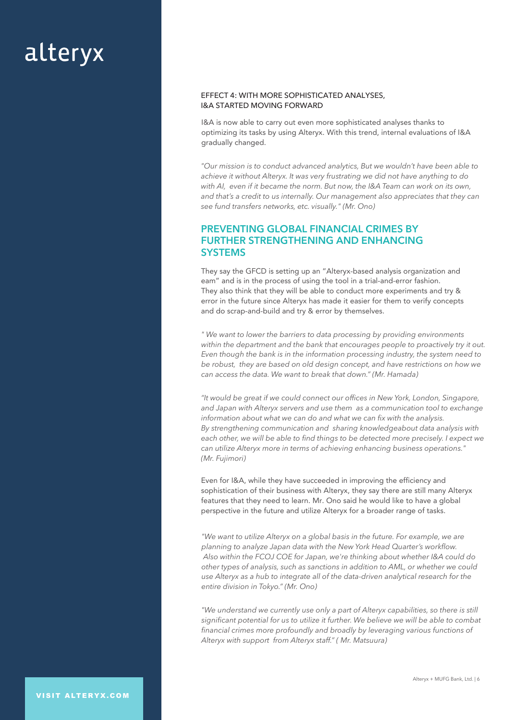#### EFFECT 4: WITH MORE SOPHISTICATED ANALYSES, I&A STARTED MOVING FORWARD

I&A is now able to carry out even more sophisticated analyses thanks to optimizing its tasks by using Alteryx. With this trend, internal evaluations of I&A gradually changed.

*"Our mission is to conduct advanced analytics, But we wouldn't have been able to achieve it without Alteryx. It was very frustrating we did not have anything to do with AI, even if it became the norm. But now, the I&A Team can work on its own, and that's a credit to us internally. Our management also appreciates that they can see fund transfers networks, etc. visually." (Mr. Ono)*

## **PREVENTING GLOBAL FINANCIAL CRIMES BY FURTHER STRENGTHENING AND ENHANCING SYSTEMS**

They say the GFCD is setting up an "Alteryx-based analysis organization and eam" and is in the process of using the tool in a trial-and-error fashion. They also think that they will be able to conduct more experiments and try & error in the future since Alteryx has made it easier for them to verify concepts and do scrap-and-build and try & error by themselves.

*" We want to lower the barriers to data processing by providing environments within the department and the bank that encourages people to proactively try it out. Even though the bank is in the information processing industry, the system need to be robust, they are based on old design concept, and have restrictions on how we can access the data. We want to break that down." (Mr. Hamada)*

*"It would be great if we could connect our offices in New York, London, Singapore, and Japan with Alteryx servers and use them as a communication tool to exchange information about what we can do and what we can fix with the analysis. By strengthening communication and sharing knowledgeabout data analysis with each other, we will be able to find things to be detected more precisely. I expect we can utilize Alteryx more in terms of achieving enhancing business operations." (Mr. Fujimori)*

Even for I&A, while they have succeeded in improving the efficiency and sophistication of their business with Alteryx, they say there are still many Alteryx features that they need to learn. Mr. Ono said he would like to have a global perspective in the future and utilize Alteryx for a broader range of tasks.

*"We want to utilize Alteryx on a global basis in the future. For example, we are planning to analyze Japan data with the New York Head Quarter's workflow. Also within the FCOJ COE for Japan, we're thinking about whether I&A could do other types of analysis, such as sanctions in addition to AML, or whether we could use Alteryx as a hub to integrate all of the data-driven analytical research for the entire division in Tokyo." (Mr. Ono)*

*"We understand we currently use only a part of Alteryx capabilities, so there is still significant potential for us to utilize it further. We believe we will be able to combat financial crimes more profoundly and broadly by leveraging various functions of Alteryx with support from Alteryx staff." ( Mr. Matsuura)*